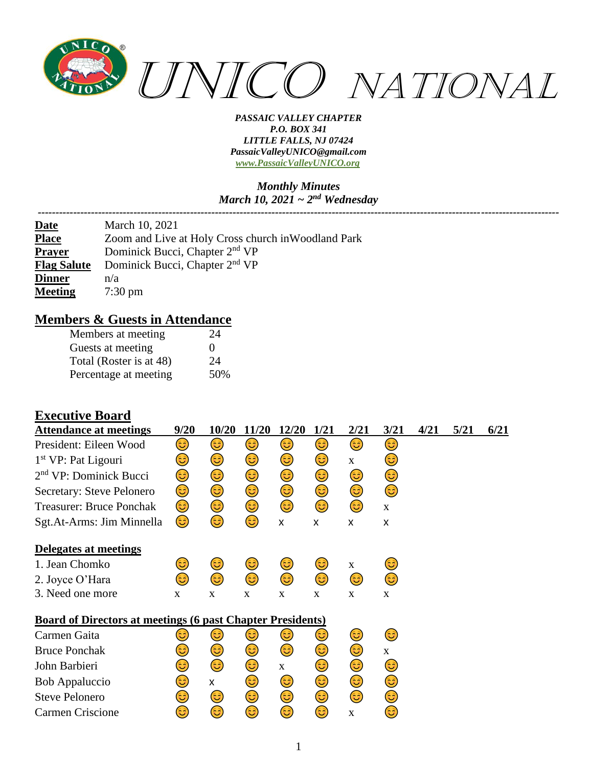

# *Monthly Minutes March 10, 2021 ~ 2nd Wednesday*

*---------------------------------------------------------------------------------------------------------------------------------------------------*

| <b>Date</b>        | March 10, 2021                                      |
|--------------------|-----------------------------------------------------|
| <b>Place</b>       | Zoom and Live at Holy Cross church in Woodland Park |
| <b>Prayer</b>      | Dominick Bucci, Chapter 2 <sup>nd</sup> VP          |
| <b>Flag Salute</b> | Dominick Bucci, Chapter 2 <sup>nd</sup> VP          |
| <b>Dinner</b>      | n/a                                                 |
| <b>Meeting</b>     | $7:30 \text{ pm}$                                   |

### **Members & Guests in Attendance**

| Members at meeting      | 24  |
|-------------------------|-----|
| Guests at meeting       | 0   |
| Total (Roster is at 48) | 24  |
| Percentage at meeting   | 50% |

### **Executive Board**

| <b>Attendance at meetings</b>                                     | 9/20        | 10/20 | 11/20       | 12/20       | 1/21        | 2/21        | 3/21        | 4/21 | 5/21 | 6/21 |
|-------------------------------------------------------------------|-------------|-------|-------------|-------------|-------------|-------------|-------------|------|------|------|
| President: Eileen Wood                                            | 3           | ٢     | 3)          | 3)          | 3)          | ٢           | ٢           |      |      |      |
| $1st VP$ : Pat Ligouri                                            | 3           | 3     | 3           | 3           | 3           | X           | 3           |      |      |      |
| 2 <sup>nd</sup> VP: Dominick Bucci                                | ☺           | 3)    | ☺           | ٢           | ٢           | 3           | ☺           |      |      |      |
| Secretary: Steve Pelonero                                         | 3)          | ٢     | ٢           | ٢           | ٢           | ٢           | ٤           |      |      |      |
| <b>Treasurer: Bruce Ponchak</b>                                   | ٢           | ٢     | ☺           | ٢           | ٢           | 3           | $\mathbf X$ |      |      |      |
| Sgt.At-Arms: Jim Minnella                                         | 3)          | 3     | 3)          | X           | X           | X           | X           |      |      |      |
| Delegates at meetings                                             |             |       |             |             |             |             |             |      |      |      |
| 1. Jean Chomko                                                    | 3           | 3)    | 3)          | 3)          | 3           | $\mathbf X$ | 3)          |      |      |      |
| 2. Joyce O'Hara                                                   | ಡಿ          | 3     | 3           | 3)          | 6           | ٢           | ٢           |      |      |      |
| 3. Need one more                                                  | $\mathbf X$ | X     | $\mathbf X$ | X           | $\mathbf X$ | $\mathbf X$ | $\mathbf X$ |      |      |      |
| <b>Board of Directors at meetings (6 past Chapter Presidents)</b> |             |       |             |             |             |             |             |      |      |      |
| Carmen Gaita                                                      | ٷ           | 3     | 3           | 3           | ತಿ          | فأ          | 3)          |      |      |      |
| <b>Bruce Ponchak</b>                                              | 3           | 3)    | ٢           | 3)          | 3           | 3           | $\mathbf X$ |      |      |      |
| John Barbieri                                                     | 3)          | 3     | ٢           | $\mathbf X$ | 3           | 3)          | 3           |      |      |      |
| <b>Bob Appaluccio</b>                                             | 3           | X     | 3           | 3)          | ٢           | 3)          | 3)          |      |      |      |
| <b>Steve Pelonero</b>                                             | ತಿ          | 3)    | ٢           | 3)          | 3           | 3)          | 3)          |      |      |      |
| Carmen Criscione                                                  | 3           | ಡಿ    | 3           | 3           | 3           | $\mathbf X$ | 3           |      |      |      |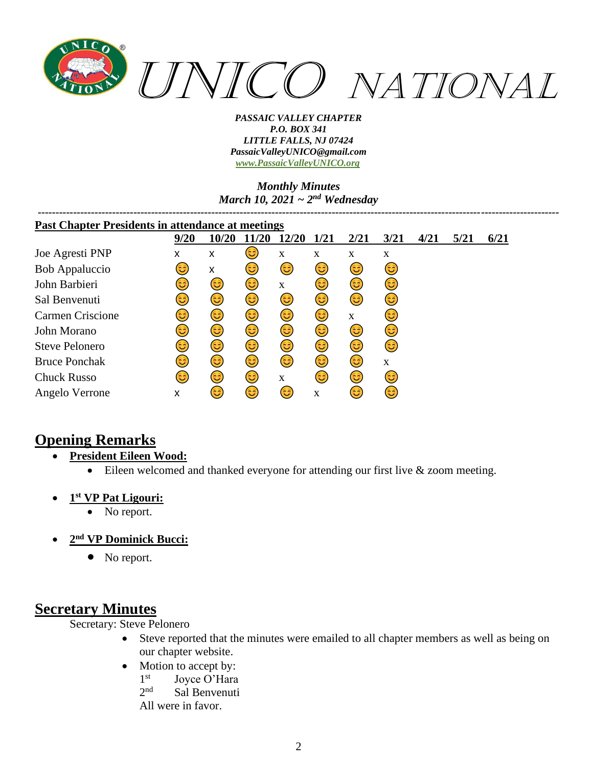

### *Monthly Minutes March 10, 2021 ~ 2nd Wednesday*

| <b>Past Chapter Presidents in attendance at meetings</b> |            |       |      |             |             |      |             |      |      |      |
|----------------------------------------------------------|------------|-------|------|-------------|-------------|------|-------------|------|------|------|
|                                                          | 9/20       | 10/20 | 1/20 | 12/20       | <b>1/21</b> | 2/21 | 3/21        | 4/21 | 5/21 | 6/21 |
| Joe Agresti PNP                                          | X          | x     | 3)   | $\mathbf X$ | X           | X    | $\mathbf X$ |      |      |      |
| Bob Appaluccio                                           | 3          | X     | 3)   | 3           | 3)          | 3)   | (3          |      |      |      |
| John Barbieri                                            | 3          | 3)    | 3)   | X           | 3)          | 3)   | 3)          |      |      |      |
| Sal Benvenuti                                            | 3          | ٢     | 3)   | 3)          | 3)          | 3)   | 6           |      |      |      |
| <b>Carmen Criscione</b>                                  | 3          | 3)    | 3)   | 3)          | 3           | X    | 3           |      |      |      |
| John Morano                                              | 3          | ٢     | 3)   | ٢           | 3)          | 3)   | 3)          |      |      |      |
| Steve Pelonero                                           | <u>(ಚಿ</u> | ٢     | 3)   | ٢           | 3)          | 3)   | (3          |      |      |      |
| <b>Bruce Ponchak</b>                                     | 3)         | ٢     | 3)   | 3           | 3)          | 6    | $\mathbf X$ |      |      |      |
| <b>Chuck Russo</b>                                       | 3          | ٢     | 3    | X           | 3           | 3    | 6           |      |      |      |
| Angelo Verrone                                           | X          | 3     | 6    | 3)          | X           | 3    | 3           |      |      |      |

# **Opening Remarks**

- **President Eileen Wood:**
	- Eileen welcomed and thanked everyone for attending our first live & zoom meeting.
- **1 st VP Pat Ligouri:**
	- No report.
- **2 nd VP Dominick Bucci:**
	- No report.

## **Secretary Minutes**

### Secretary: Steve Pelonero

- Steve reported that the minutes were emailed to all chapter members as well as being on our chapter website.
- Motion to accept by:
	- 1<sup>st</sup> Joyce O'Hara
	- $2<sub>nd</sub>$ Sal Benvenuti

All were in favor.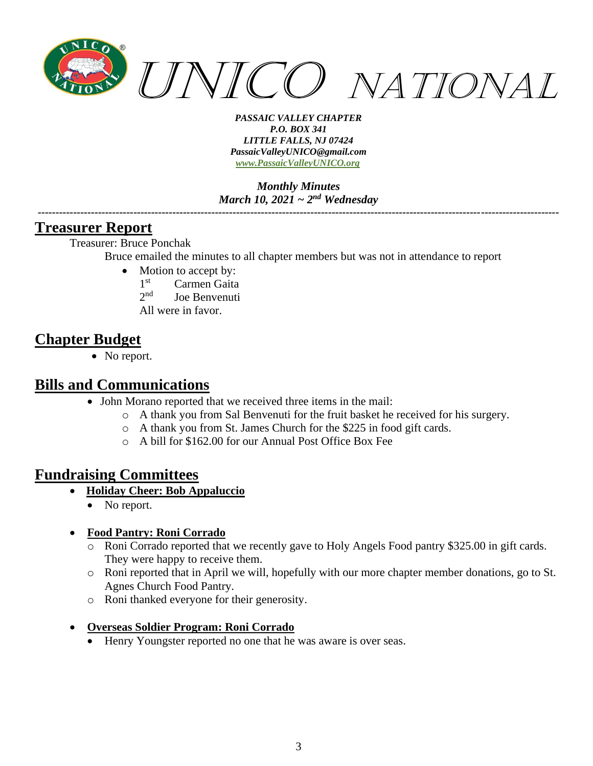

*Monthly Minutes March 10, 2021 ~ 2nd Wednesday*

*---------------------------------------------------------------------------------------------------------------------------------------------------*

### **Treasurer Report**

Treasurer: Bruce Ponchak

Bruce emailed the minutes to all chapter members but was not in attendance to report

- Motion to accept by:
	- 1<sup>st</sup> Carmen Gaita
	- $2nd$ Joe Benvenuti
	- All were in favor.

## **Chapter Budget**

• No report.

### **Bills and Communications**

- John Morano reported that we received three items in the mail:
	- o A thank you from Sal Benvenuti for the fruit basket he received for his surgery.
	- o A thank you from St. James Church for the \$225 in food gift cards.
	- o A bill for \$162.00 for our Annual Post Office Box Fee

## **Fundraising Committees**

- **Holiday Cheer: Bob Appaluccio**
	- No report.

#### • **Food Pantry: Roni Corrado**

- o Roni Corrado reported that we recently gave to Holy Angels Food pantry \$325.00 in gift cards. They were happy to receive them.
- o Roni reported that in April we will, hopefully with our more chapter member donations, go to St. Agnes Church Food Pantry.
- o Roni thanked everyone for their generosity.
- **Overseas Soldier Program: Roni Corrado**
	- Henry Youngster reported no one that he was aware is over seas.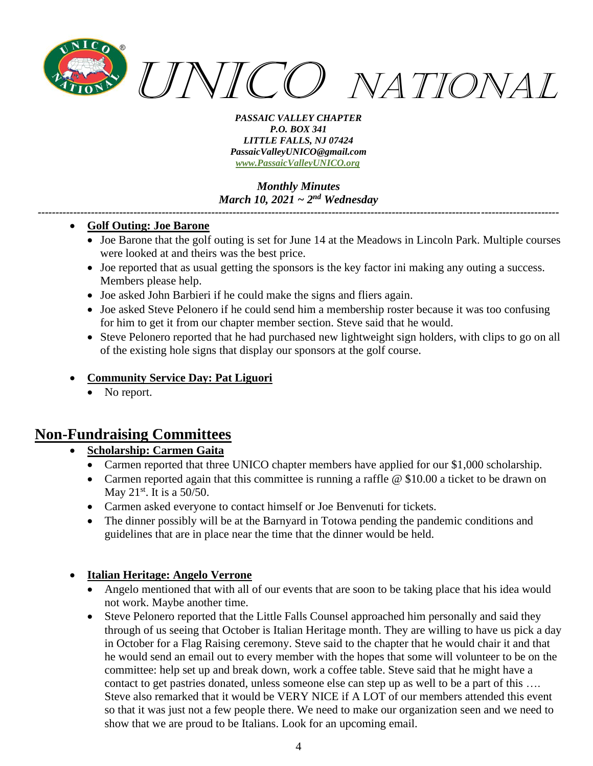

*Monthly Minutes March 10, 2021 ~ 2nd Wednesday*

*---------------------------------------------------------------------------------------------------------------------------------------------------*

#### • **Golf Outing: Joe Barone**

- Joe Barone that the golf outing is set for June 14 at the Meadows in Lincoln Park. Multiple courses were looked at and theirs was the best price.
- Joe reported that as usual getting the sponsors is the key factor ini making any outing a success. Members please help.
- Joe asked John Barbieri if he could make the signs and fliers again.
- Joe asked Steve Pelonero if he could send him a membership roster because it was too confusing for him to get it from our chapter member section. Steve said that he would.
- Steve Pelonero reported that he had purchased new lightweight sign holders, with clips to go on all of the existing hole signs that display our sponsors at the golf course.

### • **Community Service Day: Pat Liguori**

No report.

## **Non-Fundraising Committees**

### • **Scholarship: Carmen Gaita**

- Carmen reported that three UNICO chapter members have applied for our \$1,000 scholarship.
- Carmen reported again that this committee is running a raffle @ \$10.00 a ticket to be drawn on May  $21^{st}$ . It is a 50/50.
- Carmen asked everyone to contact himself or Joe Benvenuti for tickets.
- The dinner possibly will be at the Barnyard in Totowa pending the pandemic conditions and guidelines that are in place near the time that the dinner would be held.

#### • **Italian Heritage: Angelo Verrone**

- Angelo mentioned that with all of our events that are soon to be taking place that his idea would not work. Maybe another time.
- Steve Pelonero reported that the Little Falls Counsel approached him personally and said they through of us seeing that October is Italian Heritage month. They are willing to have us pick a day in October for a Flag Raising ceremony. Steve said to the chapter that he would chair it and that he would send an email out to every member with the hopes that some will volunteer to be on the committee: help set up and break down, work a coffee table. Steve said that he might have a contact to get pastries donated, unless someone else can step up as well to be a part of this …. Steve also remarked that it would be VERY NICE if A LOT of our members attended this event so that it was just not a few people there. We need to make our organization seen and we need to show that we are proud to be Italians. Look for an upcoming email.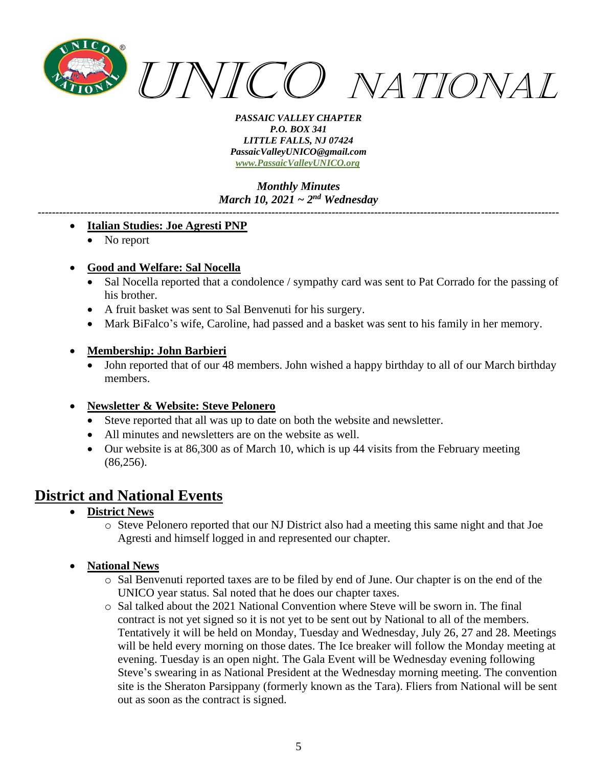

*Monthly Minutes March 10, 2021 ~ 2nd Wednesday*

*---------------------------------------------------------------------------------------------------------------------------------------------------*

#### • **Italian Studies: Joe Agresti PNP**

• No report

#### • **Good and Welfare: Sal Nocella**

- Sal Nocella reported that a condolence / sympathy card was sent to Pat Corrado for the passing of his brother.
- A fruit basket was sent to Sal Benvenuti for his surgery.
- Mark BiFalco's wife, Caroline, had passed and a basket was sent to his family in her memory.

#### • **Membership: John Barbieri**

• John reported that of our 48 members. John wished a happy birthday to all of our March birthday members.

#### • **Newsletter & Website: Steve Pelonero**

- Steve reported that all was up to date on both the website and newsletter.
- All minutes and newsletters are on the website as well.
- Our website is at 86,300 as of March 10, which is up 44 visits from the February meeting (86,256).

## **District and National Events**

- **District News**
	- o Steve Pelonero reported that our NJ District also had a meeting this same night and that Joe Agresti and himself logged in and represented our chapter.

#### • **National News**

- o Sal Benvenuti reported taxes are to be filed by end of June. Our chapter is on the end of the UNICO year status. Sal noted that he does our chapter taxes.
- o Sal talked about the 2021 National Convention where Steve will be sworn in. The final contract is not yet signed so it is not yet to be sent out by National to all of the members. Tentatively it will be held on Monday, Tuesday and Wednesday, July 26, 27 and 28. Meetings will be held every morning on those dates. The Ice breaker will follow the Monday meeting at evening. Tuesday is an open night. The Gala Event will be Wednesday evening following Steve's swearing in as National President at the Wednesday morning meeting. The convention site is the Sheraton Parsippany (formerly known as the Tara). Fliers from National will be sent out as soon as the contract is signed.